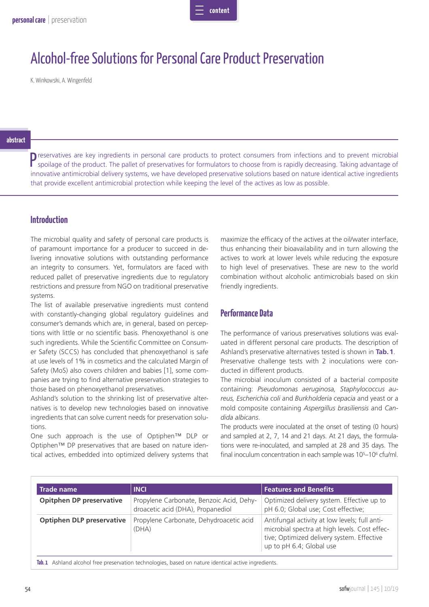

# Alcohol-free Solutions for Personal Care Product Preservation

K. Winkowski, A. Wingenfeld

#### **abstract**

P reservatives are key ingredients in personal care products to protect consumers from infections and to prevent microbial spoilage of the product. The pallet of preservatives for formulators to choose from is rapidly decr spoilage of the product. The pallet of preservatives for formulators to choose from is rapidly decreasing. Taking advantage of innovative antimicrobial delivery systems, we have developed preservative solutions based on nature identical active ingredients that provide excellent antimicrobial protection while keeping the level of the actives as low as possible.

## **Introduction**

The microbial quality and safety of personal care products is of paramount importance for a producer to succeed in delivering innovative solutions with outstanding performance an integrity to consumers. Yet, formulators are faced with reduced pallet of preservative ingredients due to regulatory restrictions and pressure from NGO on traditional preservative systems.

The list of available preservative ingredients must contend with constantly-changing global regulatory guidelines and consumer's demands which are, in general, based on perceptions with little or no scientific basis. Phenoxyethanol is one such ingredients. While the Scientific Committee on Consumer Safety (SCCS) has concluded that phenoxyethanol is safe at use levels of 1% in cosmetics and the calculated Margin of Safety (MoS) also covers children and babies [1], some companies are trying to find alternative preservation strategies to those based on phenoxyethanol preservatives.

Ashland's solution to the shrinking list of preservative alternatives is to develop new technologies based on innovative ingredients that can solve current needs for preservation solutions.

One such approach is the use of Optiphen™ DLP or Optiphen™ DP preservatives that are based on nature identical actives, embedded into optimized delivery systems that maximize the efficacy of the actives at the oil/water interface, thus enhancing their bioavailability and in turn allowing the actives to work at lower levels while reducing the exposure to high level of preservatives. These are new to the world combination without alcoholic antimicrobials based on skin friendly ingredients.

## **Performance Data**

The performance of various preservatives solutions was evaluated in different personal care products. The description of Ashland's preservative alternatives tested is shown in **Tab. 1**. Preservative challenge tests with 2 inoculations were conducted in different products.

The microbial inoculum consisted of a bacterial composite containing: *Pseudomonas aeruginosa, Staphylococcus aureus, Escherichia coli* and *Burkholderia cepacia* and yeast or a mold composite containing *Aspergillus brasiliensis* and *Candida albicans*.

The products were inoculated at the onset of testing (0 hours) and sampled at 2, 7, 14 and 21 days. At 21 days, the formulations were re-inoculated, and sampled at 28 and 35 days. The final inoculum concentration in each sample was 10<sup>5</sup>–10<sup>6</sup> cfu/ml.

| <b>Trade name</b>                | <b>INCI</b>                                                                   | <b>Features and Benefits</b>                                                                                                                                             |
|----------------------------------|-------------------------------------------------------------------------------|--------------------------------------------------------------------------------------------------------------------------------------------------------------------------|
| <b>Opitphen DP preservative</b>  | Propylene Carbonate, Benzoic Acid, Dehy-<br>droacetic acid (DHA), Propanediol | Optimized delivery system. Effective up to<br>pH 6.0; Global use; Cost effective;                                                                                        |
| <b>Optiphen DLP preservative</b> | Propylene Carbonate, Dehydroacetic acid<br>(DHA)                              | Antifungal activity at low levels; full anti-<br>microbial spectra at high levels. Cost effec-<br>tive; Optimized delivery system. Effective<br>up to pH 6.4; Global use |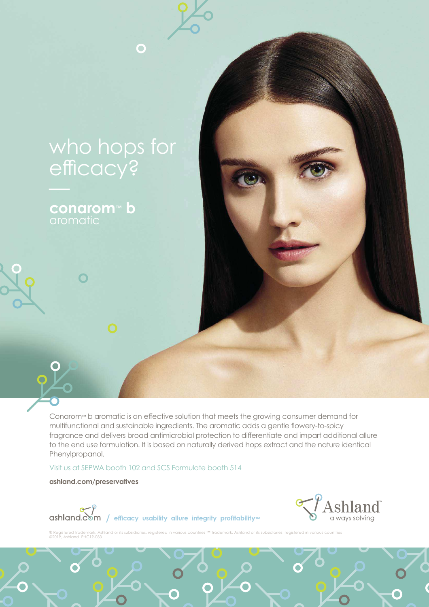

O

**conarom™ b** 

 $\overline{\mathbf{O}}$ 

Conarom™ b aromatic is an effective solution that meets the growing consumer demand for multifunctional and sustainable ingredients. The aromatic adds a gentle flowery-to-spicy fragrance and delivers broad antimicrobial protection to differentiate and impart additional allure to the end use formulation. It is based on naturally derived hops extract and the nature identical Phenylpropanol.

Visit us at SEPWA booth 102 and SCS Formulate booth 514

**ashland.com/preservatives**

 $\mathcal{L}% _{M_{1},M_{2}}^{(h,\sigma),(h,\sigma)}(-\varepsilon)$ 

 $\overline{\text{O}}$ 



ashland.com / efficacy usability allure integrity profitability™

its subsidiaries, registered in various countries ©2019, Ashland PHC19-083

 $\bullet$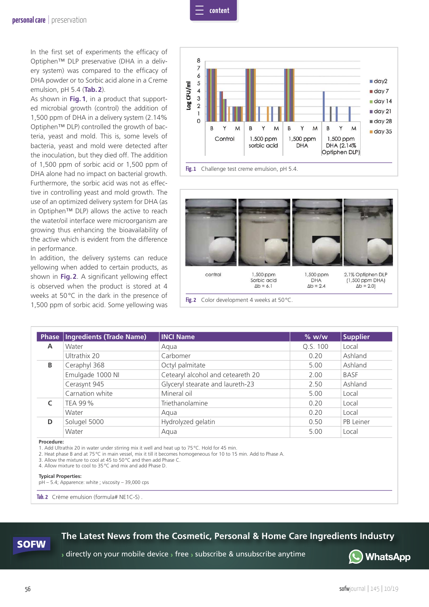

In the first set of experiments the efficacy of Optiphen™ DLP preservative (DHA in a delivery system) was compared to the efficacy of DHA powder or to Sorbic acid alone in a Creme emulsion, pH 5.4 (**Tab. 2**).

As shown in **Fig. 1**, in a product that supported microbial growth (control) the addition of 1,500 ppm of DHA in a delivery system (2.14% Optiphen™ DLP) controlled the growth of bacteria, yeast and mold. This is, some levels of bacteria, yeast and mold were detected after the inoculation, but they died off. The addition of 1,500 ppm of sorbic acid or 1,500 ppm of DHA alone had no impact on bacterial growth. Furthermore, the sorbic acid was not as effective in controlling yeast and mold growth. The use of an optimized delivery system for DHA (as in Optiphen™ DLP) allows the active to reach the water/oil interface were microorganism are growing thus enhancing the bioavailability of the active which is evident from the difference in performance.

In addition, the delivery systems can reduce yellowing when added to certain products, as shown in **Fig. 2**. A significant yellowing effect is observed when the product is stored at 4 weeks at 50 °C in the dark in the presence of 1,500 ppm of sorbic acid. Some yellowing was





Fig. 2 Color development 4 weeks at 50 °C.

|   | Phase   Ingredients (Trade Name) | <b>INCI Name</b>                  | % w/w    | <b>Supplier</b> |
|---|----------------------------------|-----------------------------------|----------|-----------------|
| A | Water                            | Agua                              | Q.S. 100 | Local           |
|   | Ultrathix 20                     | Carbomer                          | 0.20     | Ashland         |
| B | Ceraphyl 368                     | Octyl palmitate                   | 5.00     | Ashland         |
|   | Emulgade 1000 NI                 | Cetearyl alcohol and ceteareth 20 | 2.00     | <b>BASF</b>     |
|   | Cerasynt 945                     | Glyceryl stearate and laureth-23  | 2.50     | Ashland         |
|   | Carnation white                  | Mineral oil                       | 5.00     | Local           |
|   | TEA 99 %                         | Triethanolamine                   | 0.20     | Local           |
|   | Water                            | Agua                              | 0.20     | Local           |
| D | Solugel 5000                     | Hydrolyzed gelatin                | 0.50     | PB Leiner       |
|   | Water                            | Aqua                              | 5.00     | Local           |

**Procedure:** 

1. Add Ultrathix 20 in water under stirring mix it well and heat up to 75 °C. Hold for 45 min.

2. Heat phase B and at 75 °C in main vessel, mix it till it becomes homogeneous for 10 to 15 min. Add to Phase A.

3. Allow the mixture to cool at 45 to 50 °C and then add Phase C.

4. Allow mixture to cool to 35 °C and mix and add Phase D.

#### **Typical Properties:**

pH – 5.4; Apparence: white ; viscosity – 39,000 cps

**Tab. 2** Crème emulsion (formula# NE1C-S) .

### **The Latest News from the Cosmetic, Personal & Home Care Ingredients Industry**

› directly on your mobile device › free › subscribe & unsubscribe anytime



**SOFW**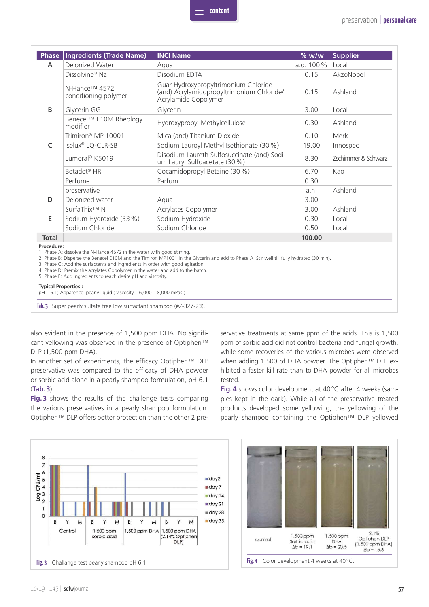| <b>Phase</b> | <b>Ingredients (Trade Name)</b>       | <b>INCI Name</b>                                                                                          | $%$ w/w   | <b>Supplier</b>     |
|--------------|---------------------------------------|-----------------------------------------------------------------------------------------------------------|-----------|---------------------|
| A            | Dejonized Water                       | Aqua                                                                                                      | a.d. 100% | Local               |
|              | Dissolvine <sup>®</sup> Na            | Disodium EDTA                                                                                             | 0.15      | AkzoNobel           |
|              | N-Hance™ 4572<br>conditioning polymer | Guar Hydroxypropyltrimonium Chloride<br>(and) Acrylamidopropyltrimonium Chloride/<br>Acrylamide Copolymer | 0.15      | Ashland             |
| B            | Glycerin GG                           | Glycerin                                                                                                  | 3.00      | Local               |
|              | Benecel™ E10M Rheology<br>modifier    | Hydroxypropyl Methylcellulose                                                                             | 0.30      | Ashland             |
|              | Trimiron <sup>®</sup> MP 10001        | Mica (and) Titanium Dioxide                                                                               | 0.10      | Merk                |
| C            | Iselux <sup>®</sup> LQ-CLR-SB         | Sodium Lauroyl Methyl Isethionate (30 %)                                                                  | 19.00     | Innospec            |
|              | Lumoral® K5019                        | Disodium Laureth Sulfosuccinate (and) Sodi-<br>um Lauryl Sulfoacetate (30 %)                              | 8.30      | Zschimmer & Schwarz |
|              | Betadet <sup>®</sup> HR               | Cocamidopropyl Betaine (30 %)                                                                             | 6.70      | Kao                 |
|              | Perfume                               | Parfum                                                                                                    | 0.30      |                     |
|              | preservative                          |                                                                                                           | a.n.      | Ashland             |
| D            | Dejonized water                       | Aqua                                                                                                      | 3.00      |                     |
|              | SurfaThix™ N                          | Acrylates Copolymer                                                                                       | 3.00      | Ashland             |
| E            | Sodium Hydroxide (33 %)               | Sodium Hydroxide                                                                                          | 0.30      | Local               |
|              | Sodium Chloride                       | Sodium Chloride                                                                                           | 0.50      | Local               |
|              |                                       |                                                                                                           | 100.00    |                     |

**content**

3. Phase C; Add the surfactants and ingredients in order with good agitation.

4. Phase D: Premix the acrylates Copolymer in the water and add to the batch.

5. Phase E: Add ingredients to reach desire pH and viscosity.

**Typical Properties :** 

pH – 6.1; Apparence: pearly liquid ; viscosity – 6,000 – 8,000 mPas ;

**Tab. 3** Super pearly sulfate free low surfactant shampoo (#Z-327-23).

also evident in the presence of 1,500 ppm DHA. No significant yellowing was observed in the presence of Optiphen™ DLP (1,500 ppm DHA).

In another set of experiments, the efficacy Optiphen™ DLP preservative was compared to the efficacy of DHA powder or sorbic acid alone in a pearly shampoo formulation, pH 6.1 (**Tab. 3**).

**Fig. 3** shows the results of the challenge tests comparing the various preservatives in a pearly shampoo formulation. Optiphen™ DLP offers better protection than the other 2 preservative treatments at same ppm of the acids. This is 1,500 ppm of sorbic acid did not control bacteria and fungal growth, while some recoveries of the various microbes were observed when adding 1,500 of DHA powder. The Optiphen™ DLP exhibited a faster kill rate than to DHA powder for all microbes tested.

**Fig. 4** shows color development at 40 °C after 4 weeks (samples kept in the dark). While all of the preservative treated products developed some yellowing, the yellowing of the pearly shampoo containing the Optiphen™ DLP yellowed